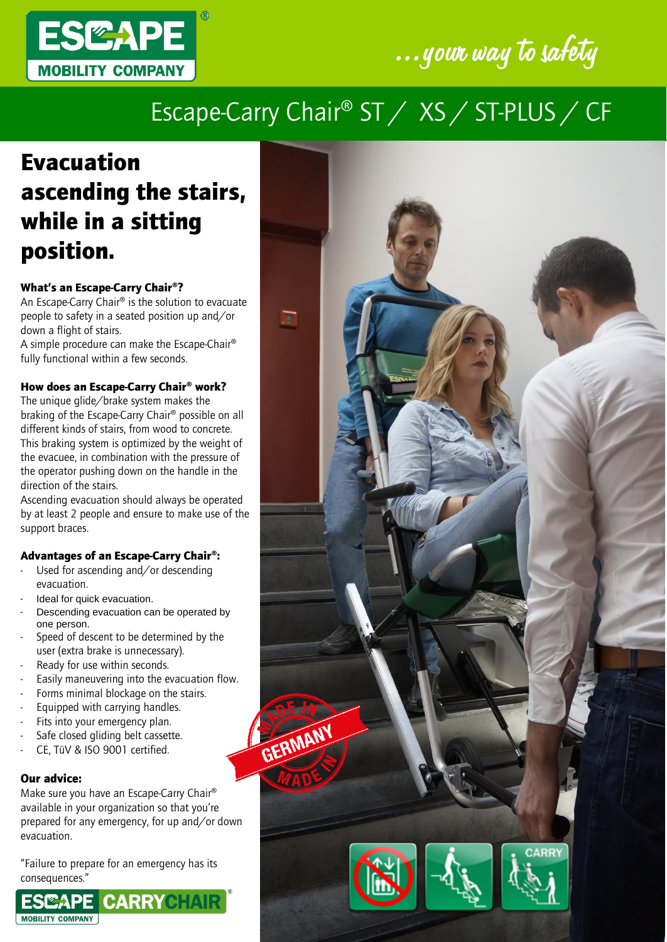



# Escape-Carry Chair® ST / XS / ST-PLUS / CF

## Evacuation ascending the stairs, while in a sitting position.

#### What's an Escape-Carry Chair®?

An Escape-Carry Chair® is the solution to evacuate people to safety in a seated position up and/or down a flight of stairs.

A simple procedure can make the Escape-Chair® fully functional within a few seconds.

## How does an Escape-Carry Chair® work?

The unique glide/brake system makes the braking of the Escape-Carry Chair® possible on all different kinds of stairs, from wood to concrete. This braking system is optimized by the weight of the evacuee, in combination with the pressure of the operator pushing down on the handle in the direction of the stairs.

Ascending evacuation should always be operated by at least 2 people and ensure to make use of the support braces.

### Advantages of an Escape-Carry Chair®:

- Used for ascending and/or descending evacuation.
- Ideal for quick evacuation.
- Descending evacuation can be operated by one person.
- Speed of descent to be determined by the user (extra brake is unnecessary).
- Ready for use within seconds.
- Easily maneuvering into the evacuation flow.

GERMANY

- Forms minimal blockage on the stairs.
- Equipped with carrying handles.
- Fits into your emergency plan.
- Safe closed gliding belt cassette.
- CE, TüV & ISO 9001 certified.

#### Our advice:

Make sure you have an Escape-Carry Chair® available in your organization so that you're prepared for any emergency, for up and/or down evacuation.

"Failure to prepare for an emergency has its consequences."